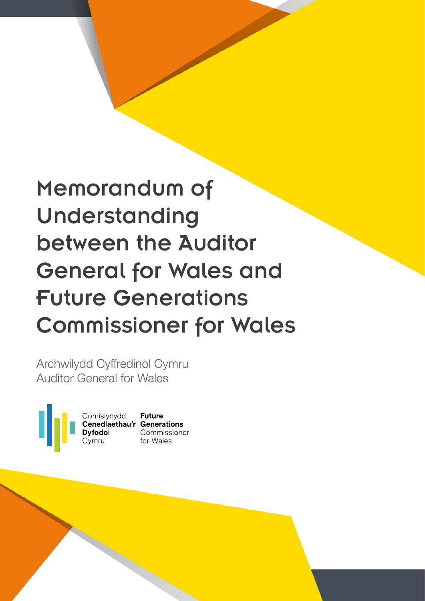# Memorandum of Understanding between the Auditor General for Wales and Future Generations Commissioner for Wales

Archwilydd Cyffredinol Cymru Auditor General for Wales

Comisiynydd **Future<br>Cenedlaethau'r Generations<br>Dyfodol Commissione** 

Commissioner for Wales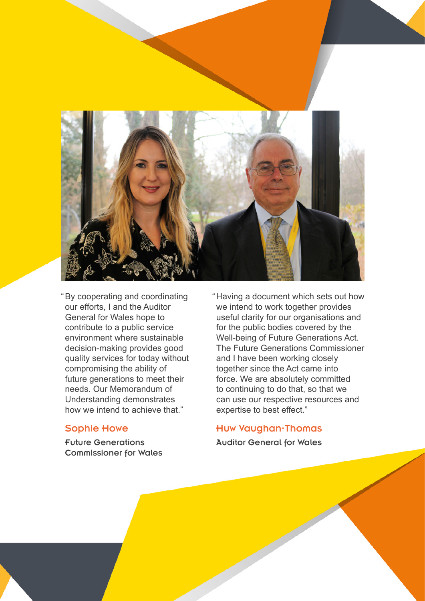

"By cooperating and coordinating our efforts, I and the Auditor General for Wales hope to contribute to a public service environment where sustainable decision-making provides good quality services for today without compromising the ability of future generations to meet their needs. Our Memorandum of Understanding demonstrates how we intend to achieve that."

### Sophie Howe

2 Memorandum of Understanding

Future Generations Commissioner for Wales "Having a document which sets out how we intend to work together provides useful clarity for our organisations and for the public bodies covered by the Well-being of Future Generations Act. The Future Generations Commissioner and I have been working closely together since the Act came into force. We are absolutely committed to continuing to do that, so that we can use our respective resources and expertise to best effect."

### Huw Vaughan-Thomas

Auditor General for Wales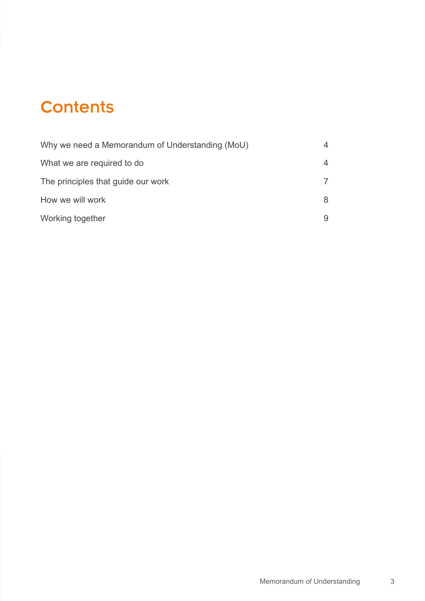## **Contents**

| Why we need a Memorandum of Understanding (MoU) | 4 |
|-------------------------------------------------|---|
| What we are required to do                      | 4 |
| The principles that guide our work              |   |
| How we will work                                | 8 |
| Working together                                |   |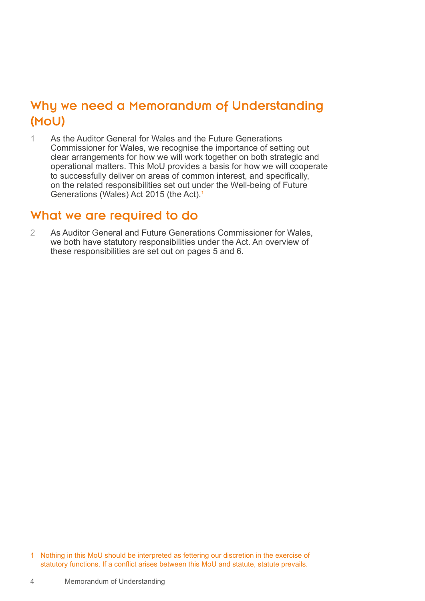### <span id="page-3-0"></span>Why we need a Memorandum of Understanding (MoU)

1 As the Auditor General for Wales and the Future Generations Commissioner for Wales, we recognise the importance of setting out clear arrangements for how we will work together on both strategic and operational matters. This MoU provides a basis for how we will cooperate to successfully deliver on areas of common interest, and specifically, on the related responsibilities set out under the Well-being of Future Generations (Wales) Act 2015 (the Act).1

### What we are required to do

2 As Auditor General and Future Generations Commissioner for Wales, we both have statutory responsibilities under the Act. An overview of these responsibilities are set out on pages 5 and 6.

1 Nothing in this MoU should be interpreted as fettering our discretion in the exercise of statutory functions. If a conflict arises between this MoU and statute, statute prevails.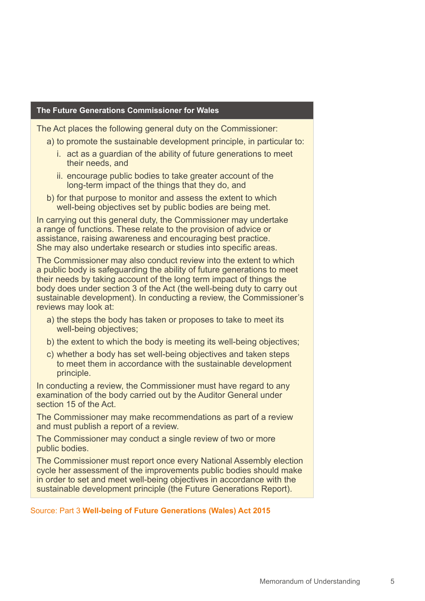#### **The Future Generations Commissioner for Wales**

The Act places the following general duty on the Commissioner:

- a) to promote the sustainable development principle, in particular to:
	- i. act as a guardian of the ability of future generations to meet their needs, and
	- ii. encourage public bodies to take greater account of the long-term impact of the things that they do, and
- b) for that purpose to monitor and assess the extent to which well-being objectives set by public bodies are being met.

In carrying out this general duty, the Commissioner may undertake a range of functions. These relate to the provision of advice or assistance, raising awareness and encouraging best practice. She may also undertake research or studies into specific areas.

The Commissioner may also conduct review into the extent to which a public body is safeguarding the ability of future generations to meet their needs by taking account of the long term impact of things the body does under section 3 of the Act (the well-being duty to carry out sustainable development). In conducting a review, the Commissioner's reviews may look at:

- a) the steps the body has taken or proposes to take to meet its well-being objectives;
- b) the extent to which the body is meeting its well-being objectives;
- c) whether a body has set well-being objectives and taken steps to meet them in accordance with the sustainable development principle.

In conducting a review, the Commissioner must have regard to any examination of the body carried out by the Auditor General under section 15 of the Act.

The Commissioner may make recommendations as part of a review and must publish a report of a review.

The Commissioner may conduct a single review of two or more public bodies.

The Commissioner must report once every National Assembly election cycle her assessment of the improvements public bodies should make in order to set and meet well-being objectives in accordance with the sustainable development principle (the Future Generations Report).

#### Source: Part 3 **Well-being of Future Generations (Wales) Act 2015**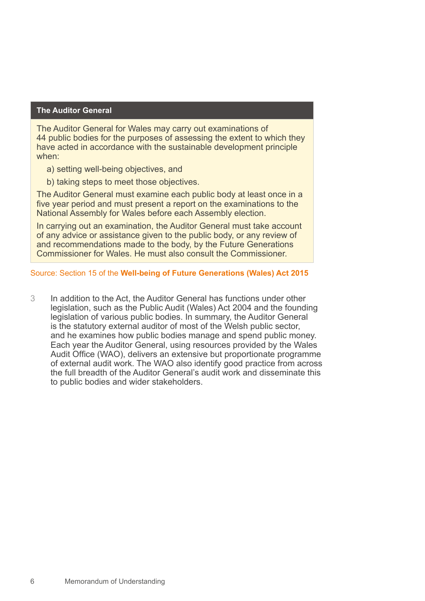#### **The Auditor General**

The Auditor General for Wales may carry out examinations of 44 public bodies for the purposes of assessing the extent to which they have acted in accordance with the sustainable development principle when:

- a) setting well-being objectives, and
- b) taking steps to meet those objectives.

The Auditor General must examine each public body at least once in a five year period and must present a report on the examinations to the National Assembly for Wales before each Assembly election.

In carrying out an examination, the Auditor General must take account of any advice or assistance given to the public body, or any review of and recommendations made to the body, by the Future Generations Commissioner for Wales. He must also consult the Commissioner.

#### Source: Section 15 of the **Well-being of Future Generations (Wales) Act 2015**

3 In addition to the Act, the Auditor General has functions under other legislation, such as the Public Audit (Wales) Act 2004 and the founding legislation of various public bodies. In summary, the Auditor General is the statutory external auditor of most of the Welsh public sector, and he examines how public bodies manage and spend public money. Each year the Auditor General, using resources provided by the Wales Audit Office (WAO), delivers an extensive but proportionate programme of external audit work. The WAO also identify good practice from across the full breadth of the Auditor General's audit work and disseminate this to public bodies and wider stakeholders.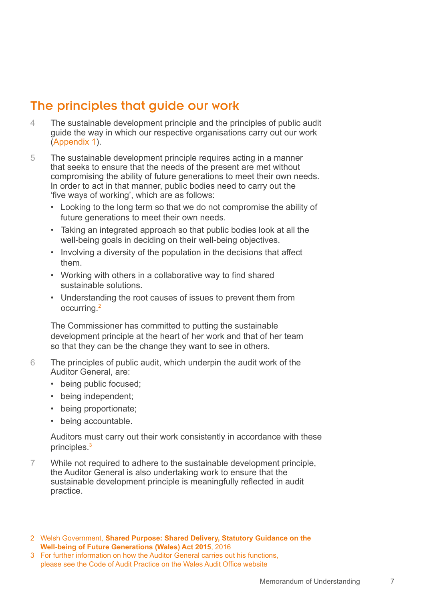### <span id="page-6-0"></span>The principles that guide our work

- 4 The sustainable development principle and the principles of public audit guide the way in which our respective organisations carry out our work (Appendix 1).
- 5 The sustainable development principle requires acting in a manner that seeks to ensure that the needs of the present are met without compromising the ability of future generations to meet their own needs. In order to act in that manner, public bodies need to carry out the 'five ways of working', which are as follows:
	- Looking to the long term so that we do not compromise the ability of future generations to meet their own needs.
	- Taking an integrated approach so that public bodies look at all the well-being goals in deciding on their well-being objectives.
	- Involving a diversity of the population in the decisions that affect them.
	- Working with others in a collaborative way to find shared sustainable solutions.
	- Understanding the root causes of issues to prevent them from occurring.2

The Commissioner has committed to putting the sustainable development principle at the heart of her work and that of her team so that they can be the change they want to see in others.

- 6 The principles of public audit, which underpin the audit work of the Auditor General, are:
	- being public focused;
	- being independent;
	- being proportionate;
	- being accountable.

Auditors must carry out their work consistently in accordance with these principles.<sup>3</sup>

- 7 While not required to adhere to the sustainable development principle, the Auditor General is also undertaking work to ensure that the sustainable development principle is meaningfully reflected in audit practice.
- 2 Welsh Government, **Shared Purpose: Shared Delivery, Statutory Guidance on the Well-being of Future Generations (Wales) Act 2015**, 2016
- 3 For further information on how the Auditor General carries out his functions, please see the Code of Audit Practice on the Wales Audit Office website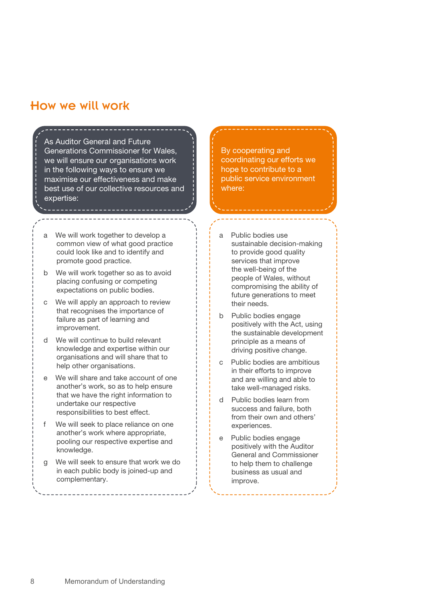### <span id="page-7-0"></span>How we will work

As Auditor General and Future Generations Commissioner for Wales, we will ensure our organisations work in the following ways to ensure we maximise our effectiveness and make best use of our collective resources and expertise:

- a We will work together to develop a common view of what good practice could look like and to identify and promote good practice.
- b We will work together so as to avoid placing confusing or competing expectations on public bodies.
- c We will apply an approach to review that recognises the importance of failure as part of learning and improvement.
- d We will continue to build relevant knowledge and expertise within our organisations and will share that to help other organisations.
- e We will share and take account of one another's work, so as to help ensure that we have the right information to undertake our respective responsibilities to best effect.
- f We will seek to place reliance on one another's work where appropriate, pooling our respective expertise and knowledge.
- We will seek to ensure that work we do in each public body is joined-up and complementary.

By cooperating and coordinating our efforts we hope to contribute to a public service environment where:

- a Public bodies use sustainable decision-making to provide good quality services that improve the well-being of the people of Wales, without compromising the ability of future generations to meet their needs.
- b Public bodies engage positively with the Act, using the sustainable development principle as a means of driving positive change.
- c Public bodies are ambitious in their efforts to improve and are willing and able to take well-managed risks.
- d Public bodies learn from success and failure, both from their own and others' experiences.
- e Public bodies engage positively with the Auditor General and Commissioner to help them to challenge business as usual and improve.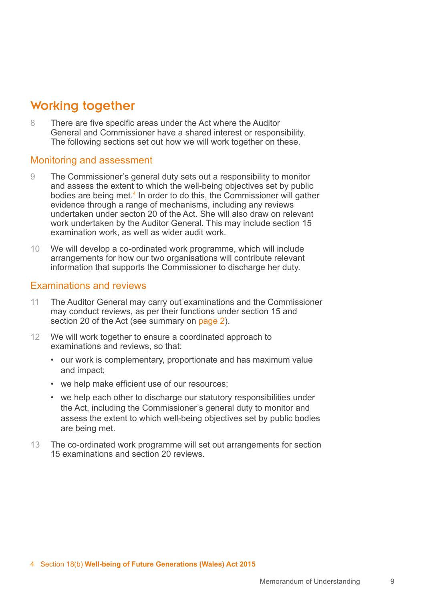### <span id="page-8-0"></span>Working together

8 There are five specific areas under the Act where the Auditor General and Commissioner have a shared interest or responsibility. The following sections set out how we will work together on these.

### Monitoring and assessment

- 9 The Commissioner's general duty sets out a responsibility to monitor and assess the extent to which the well-being objectives set by public bodies are being met.<sup>4</sup> In order to do this, the Commissioner will gather evidence through a range of mechanisms, including any reviews undertaken under secton 20 of the Act. She will also draw on relevant work undertaken by the Auditor General. This may include section 15 examination work, as well as wider audit work.
- 10 We will develop a co-ordinated work programme, which will include arrangements for how our two organisations will contribute relevant information that supports the Commissioner to discharge her duty.

### Examinations and reviews

- 11 The Auditor General may carry out examinations and the Commissioner may conduct reviews, as per their functions under section 15 and section 20 of the Act (see summary on page 2).
- 12 We will work together to ensure a coordinated approach to examinations and reviews, so that:
	- our work is complementary, proportionate and has maximum value and impact;
	- we help make efficient use of our resources;
	- we help each other to discharge our statutory responsibilities under the Act, including the Commissioner's general duty to monitor and assess the extent to which well-being objectives set by public bodies are being met.
- 13 The co-ordinated work programme will set out arrangements for section 15 examinations and section 20 reviews.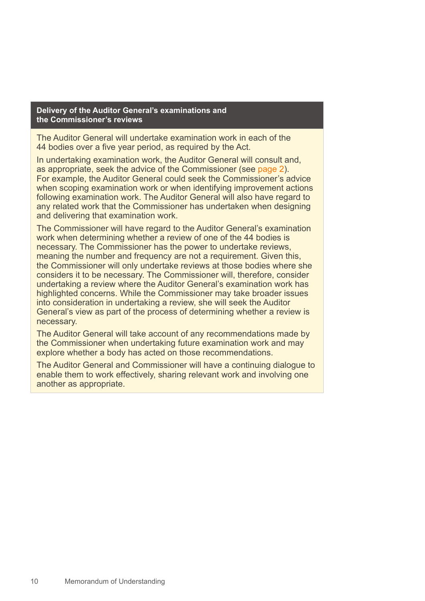#### **Delivery of the Auditor General's examinations and the Commissioner's reviews**

The Auditor General will undertake examination work in each of the 44 bodies over a five year period, as required by the Act.

In undertaking examination work, the Auditor General will consult and, as appropriate, seek the advice of the Commissioner (see page 2). For example, the Auditor General could seek the Commissioner's advice when scoping examination work or when identifying improvement actions following examination work. The Auditor General will also have regard to any related work that the Commissioner has undertaken when designing and delivering that examination work.

The Commissioner will have regard to the Auditor General's examination work when determining whether a review of one of the 44 bodies is necessary. The Commissioner has the power to undertake reviews, meaning the number and frequency are not a requirement. Given this, the Commissioner will only undertake reviews at those bodies where she considers it to be necessary. The Commissioner will, therefore, consider undertaking a review where the Auditor General's examination work has highlighted concerns. While the Commissioner may take broader issues into consideration in undertaking a review, she will seek the Auditor General's view as part of the process of determining whether a review is necessary.

The Auditor General will take account of any recommendations made by the Commissioner when undertaking future examination work and may explore whether a body has acted on those recommendations.

The Auditor General and Commissioner will have a continuing dialogue to enable them to work effectively, sharing relevant work and involving one another as appropriate.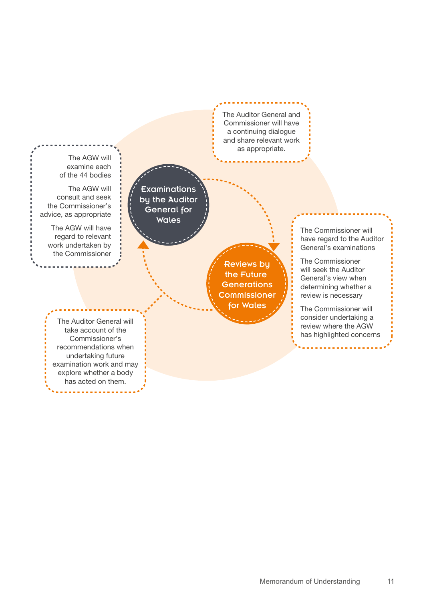The AGW will examine each of the 44 bodies

The AGW will consult and seek the Commissioner's advice, as appropriate

> The AGW will have regard to relevant work undertaken by the Commissioner

**Examinations** by the Auditor General for Wales

> Reviews by the Future **Generations Commissioner** for Wales

The Auditor General and Commissioner will have a continuing dialogue and share relevant work as appropriate.

> The Commissioner will have regard to the Auditor General's examinations

The Commissioner will seek the Auditor General's view when determining whether a review is necessary

The Commissioner will consider undertaking a review where the AGW has highlighted concerns

The Auditor General will take account of the Commissioner's recommendations when undertaking future examination work and may explore whether a body has acted on them.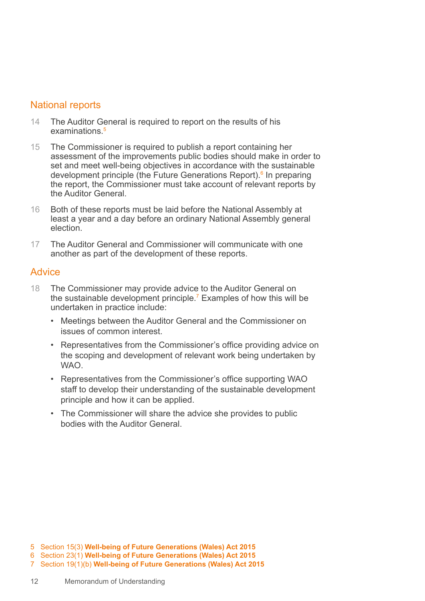### National reports

- 14 The Auditor General is required to report on the results of his examinations<sup>5</sup>
- 15 The Commissioner is required to publish a report containing her assessment of the improvements public bodies should make in order to set and meet well-being objectives in accordance with the sustainable development principle (the Future Generations Report).<sup>6</sup> In preparing the report, the Commissioner must take account of relevant reports by the Auditor General.
- 16 Both of these reports must be laid before the National Assembly at least a year and a day before an ordinary National Assembly general election.
- 17 The Auditor General and Commissioner will communicate with one another as part of the development of these reports.

### **Advice**

- 18 The Commissioner may provide advice to the Auditor General on the sustainable development principle.<sup>7</sup> Examples of how this will be undertaken in practice include:
	- Meetings between the Auditor General and the Commissioner on issues of common interest.
	- Representatives from the Commissioner's office providing advice on the scoping and development of relevant work being undertaken by WAO.
	- Representatives from the Commissioner's office supporting WAO staff to develop their understanding of the sustainable development principle and how it can be applied.
	- The Commissioner will share the advice she provides to public bodies with the Auditor General.

- 6 Section 23(1) **Well-being of Future Generations (Wales) Act 2015**
- 7 Section 19(1)(b) **Well-being of Future Generations (Wales) Act 2015**

<sup>5</sup> Section 15(3) **Well-being of Future Generations (Wales) Act 2015**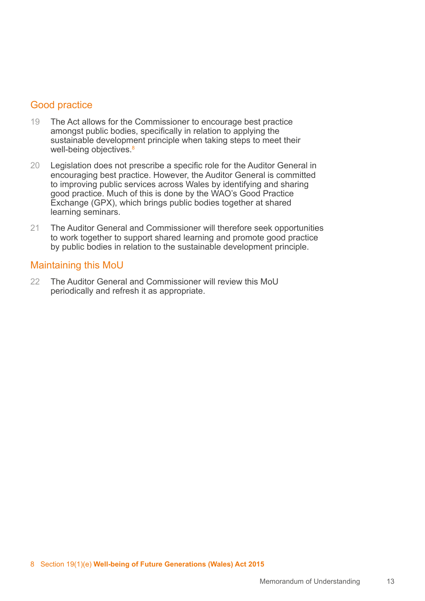### Good practice

- 19 The Act allows for the Commissioner to encourage best practice amongst public bodies, specifically in relation to applying the sustainable development principle when taking steps to meet their well-being objectives.<sup>8</sup>
- 20 Legislation does not prescribe a specific role for the Auditor General in encouraging best practice. However, the Auditor General is committed to improving public services across Wales by identifying and sharing good practice. Much of this is done by the WAO's Good Practice Exchange (GPX), which brings public bodies together at shared learning seminars.
- 21 The Auditor General and Commissioner will therefore seek opportunities to work together to support shared learning and promote good practice by public bodies in relation to the sustainable development principle.

### Maintaining this MoU

22 The Auditor General and Commissioner will review this MoU periodically and refresh it as appropriate.